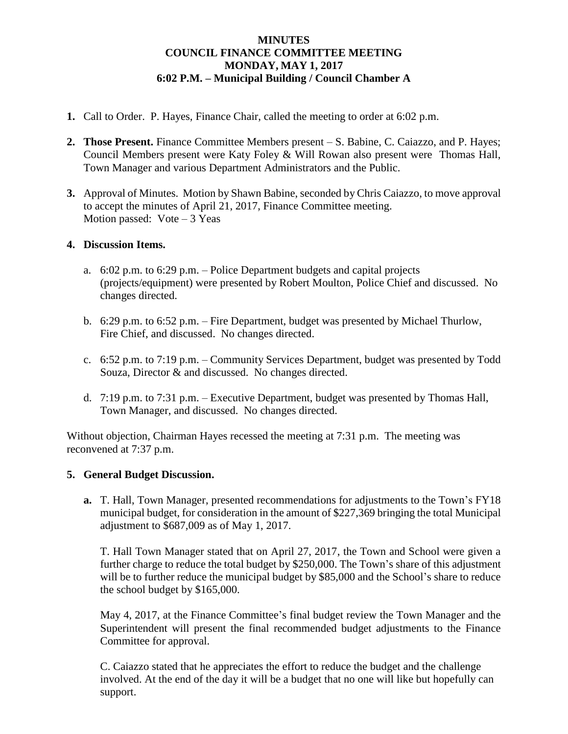### **MINUTES COUNCIL FINANCE COMMITTEE MEETING MONDAY, MAY 1, 2017 6:02 P.M. – Municipal Building / Council Chamber A**

- **1.** Call to Order. P. Hayes, Finance Chair, called the meeting to order at 6:02 p.m.
- **2. Those Present.** Finance Committee Members present S. Babine, C. Caiazzo, and P. Hayes; Council Members present were Katy Foley & Will Rowan also present were Thomas Hall, Town Manager and various Department Administrators and the Public.
- **3.** Approval of Minutes. Motion by Shawn Babine, seconded by Chris Caiazzo, to move approval to accept the minutes of April 21, 2017, Finance Committee meeting. Motion passed: Vote – 3 Yeas

### **4. Discussion Items.**

- a. 6:02 p.m. to 6:29 p.m. Police Department budgets and capital projects (projects/equipment) were presented by Robert Moulton, Police Chief and discussed. No changes directed.
- b. 6:29 p.m. to 6:52 p.m. Fire Department, budget was presented by Michael Thurlow, Fire Chief, and discussed. No changes directed.
- c. 6:52 p.m. to 7:19 p.m. Community Services Department, budget was presented by Todd Souza, Director & and discussed. No changes directed.
- d. 7:19 p.m. to 7:31 p.m. Executive Department, budget was presented by Thomas Hall, Town Manager, and discussed. No changes directed.

Without objection, Chairman Hayes recessed the meeting at 7:31 p.m. The meeting was reconvened at 7:37 p.m.

#### **5. General Budget Discussion.**

**a.** T. Hall, Town Manager, presented recommendations for adjustments to the Town's FY18 municipal budget, for consideration in the amount of \$227,369 bringing the total Municipal adjustment to \$687,009 as of May 1, 2017.

T. Hall Town Manager stated that on April 27, 2017, the Town and School were given a further charge to reduce the total budget by \$250,000. The Town's share of this adjustment will be to further reduce the municipal budget by \$85,000 and the School's share to reduce the school budget by \$165,000.

May 4, 2017, at the Finance Committee's final budget review the Town Manager and the Superintendent will present the final recommended budget adjustments to the Finance Committee for approval.

C. Caiazzo stated that he appreciates the effort to reduce the budget and the challenge involved. At the end of the day it will be a budget that no one will like but hopefully can support.